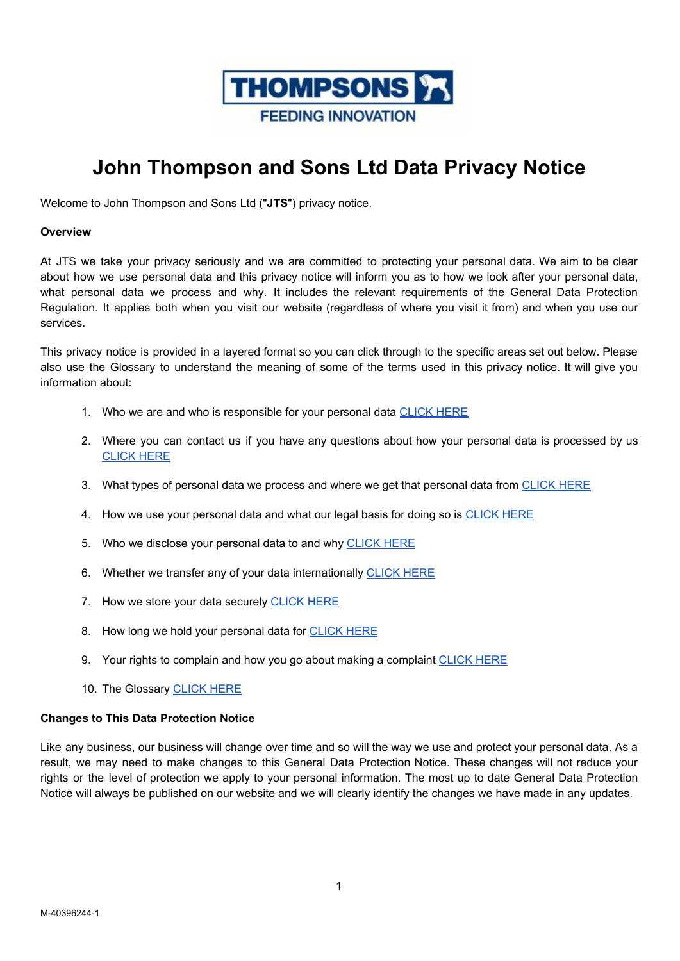

# **John Thompson and Sons Ltd Data Privacy Notice**

Welcome to John Thompson and Sons Ltd ("**JTS**") privacy notice.

# **Overview**

At JTS we take your privacy seriously and we are committed to protecting your personal data. We aim to be clear about how we use personal data and this privacy notice will inform you as to how we look after your personal data, what personal data we process and why. It includes the relevant requirements of the General Data Protection Regulation. It applies both when you visit our website (regardless of where you visit it from) and when you use our services.

This privacy notice is provided in a layered format so you can click through to the specific areas set out below. Please also use the Glossary to understand the meaning of some of the terms used in this privacy notice. It will give you information about:

- 1. Who we are and who is responsible for your personal data [CLICK](#page-1-0) HERE
- 2. Where you can contact us if you have any questions about how your personal data is processed by us [CLICK](#page-1-1) HERE
- 3. What types of personal data we process and where we get that personal data from [CLICK](#page-1-2) HERE
- 4. How we use your personal data and what our legal basis for doing so is [CLICK](#page-2-0) HERE
- 5. Who we disclose your personal data to and why [CLICK](#page-4-0) HERE
- 6. Whether we transfer any of your data internationally **[CLICK](#page-5-0) HERE**
- 7. How we store your data securely [CLICK](#page-5-1) HERE
- 8. How long we hold your personal data for [CLICK](#page-5-2) HERE
- 9. Your rights to complain and how you go about making a complaint [CLICK](#page-5-3) HERE
- 10. The Glossary **[CLICK](#page-7-0) HERE**

#### **Changes to This Data Protection Notice**

Like any business, our business will change over time and so will the way we use and protect your personal data. As a result, we may need to make changes to this General Data Protection Notice. These changes will not reduce your rights or the level of protection we apply to your personal information. The most up to date General Data Protection Notice will always be published on our website and we will clearly identify the changes we have made in any updates.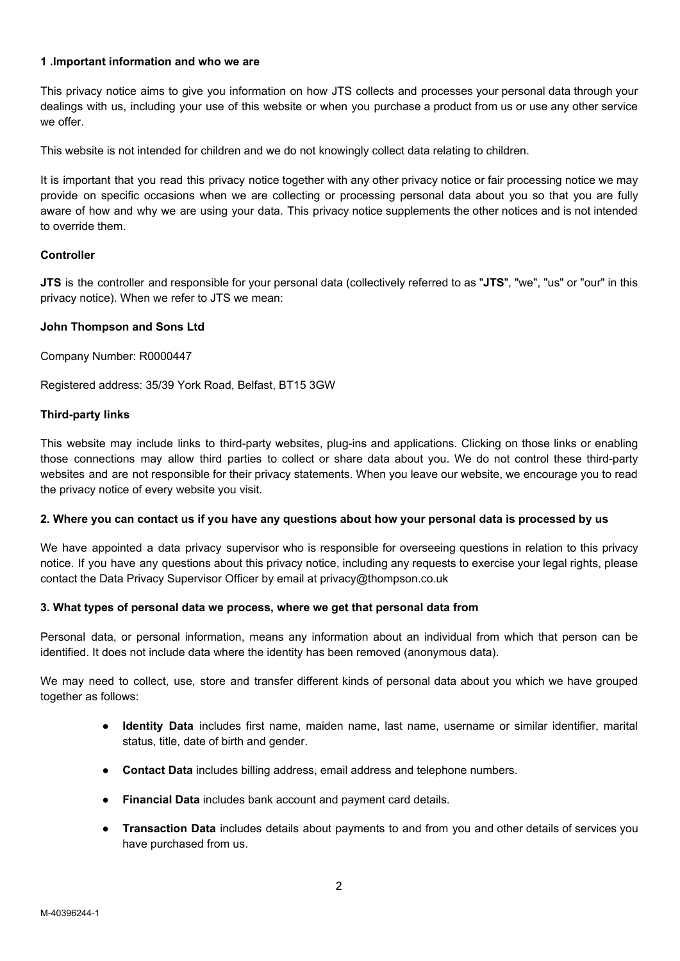## <span id="page-1-0"></span>**1 .Important information and who we are**

This privacy notice aims to give you information on how JTS collects and processes your personal data through your dealings with us, including your use of this website or when you purchase a product from us or use any other service we offer.

This website is not intended for children and we do not knowingly collect data relating to children.

It is important that you read this privacy notice together with any other privacy notice or fair processing notice we may provide on specific occasions when we are collecting or processing personal data about you so that you are fully aware of how and why we are using your data. This privacy notice supplements the other notices and is not intended to override them.

## **Controller**

**JTS** is the controller and responsible for your personal data (collectively referred to as "**JTS**", "we", "us" or "our" in this privacy notice). When we refer to JTS we mean:

### **John Thompson and Sons Ltd**

Company Number: R0000447

Registered address: 35/39 York Road, Belfast, BT15 3GW

### **Third-party links**

This website may include links to third-party websites, plug-ins and applications. Clicking on those links or enabling those connections may allow third parties to collect or share data about you. We do not control these third-party websites and are not responsible for their privacy statements. When you leave our website, we encourage you to read the privacy notice of every website you visit.

# <span id="page-1-1"></span>2. Where you can contact us if you have any questions about how your personal data is processed by us

We have appointed a data privacy supervisor who is responsible for overseeing questions in relation to this privacy notice. If you have any questions about this privacy notice, including any requests to exercise your legal rights, please contact the Data Privacy Supervisor Officer by email at privacy@thompson.co.uk

#### <span id="page-1-2"></span>**3. What types of personal data we process, where we get that personal data from**

Personal data, or personal information, means any information about an individual from which that person can be identified. It does not include data where the identity has been removed (anonymous data).

We may need to collect, use, store and transfer different kinds of personal data about you which we have grouped together as follows:

- **Identity Data** includes first name, maiden name, last name, username or similar identifier, marital status, title, date of birth and gender.
- **Contact Data** includes billing address, email address and telephone numbers.
- **Financial Data** includes bank account and payment card details.
- **Transaction Data** includes details about payments to and from you and other details of services you have purchased from us.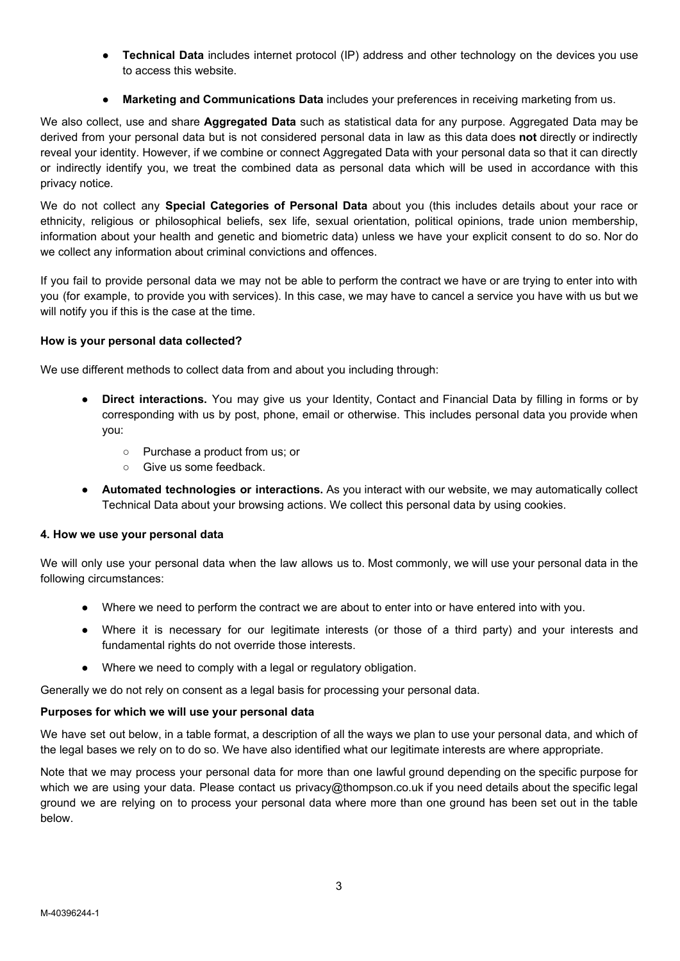- **Technical Data** includes internet protocol (IP) address and other technology on the devices you use to access this website.
- **Marketing and Communications Data** includes your preferences in receiving marketing from us.

We also collect, use and share **Aggregated Data** such as statistical data for any purpose. Aggregated Data may be derived from your personal data but is not considered personal data in law as this data does **not** directly or indirectly reveal your identity. However, if we combine or connect Aggregated Data with your personal data so that it can directly or indirectly identify you, we treat the combined data as personal data which will be used in accordance with this privacy notice.

We do not collect any **Special Categories of Personal Data** about you (this includes details about your race or ethnicity, religious or philosophical beliefs, sex life, sexual orientation, political opinions, trade union membership, information about your health and genetic and biometric data) unless we have your explicit consent to do so. Nor do we collect any information about criminal convictions and offences.

If you fail to provide personal data we may not be able to perform the contract we have or are trying to enter into with you (for example, to provide you with services). In this case, we may have to cancel a service you have with us but we will notify you if this is the case at the time.

### **How is your personal data collected?**

We use different methods to collect data from and about you including through:

- **Direct interactions.** You may give us your Identity, Contact and Financial Data by filling in forms or by corresponding with us by post, phone, email or otherwise. This includes personal data you provide when you:
	- Purchase a product from us; or
	- Give us some feedback.
- **Automated technologies or interactions.** As you interact with our website, we may automatically collect Technical Data about your browsing actions. We collect this personal data by using cookies.

#### <span id="page-2-0"></span>**4. How we use your personal data**

We will only use your personal data when the law allows us to. Most commonly, we will use your personal data in the following circumstances:

- Where we need to perform the contract we are about to enter into or have entered into with you.
- Where it is necessary for our legitimate interests (or those of a third party) and your interests and fundamental rights do not override those interests.
- Where we need to comply with a legal or regulatory obligation.

Generally we do not rely on consent as a legal basis for processing your personal data.

#### **Purposes for which we will use your personal data**

We have set out below, in a table format, a description of all the ways we plan to use your personal data, and which of the legal bases we rely on to do so. We have also identified what our legitimate interests are where appropriate.

Note that we may process your personal data for more than one lawful ground depending on the specific purpose for which we are using your data. Please contact us privacy@thompson.co.uk if you need details about the specific legal ground we are relying on to process your personal data where more than one ground has been set out in the table below.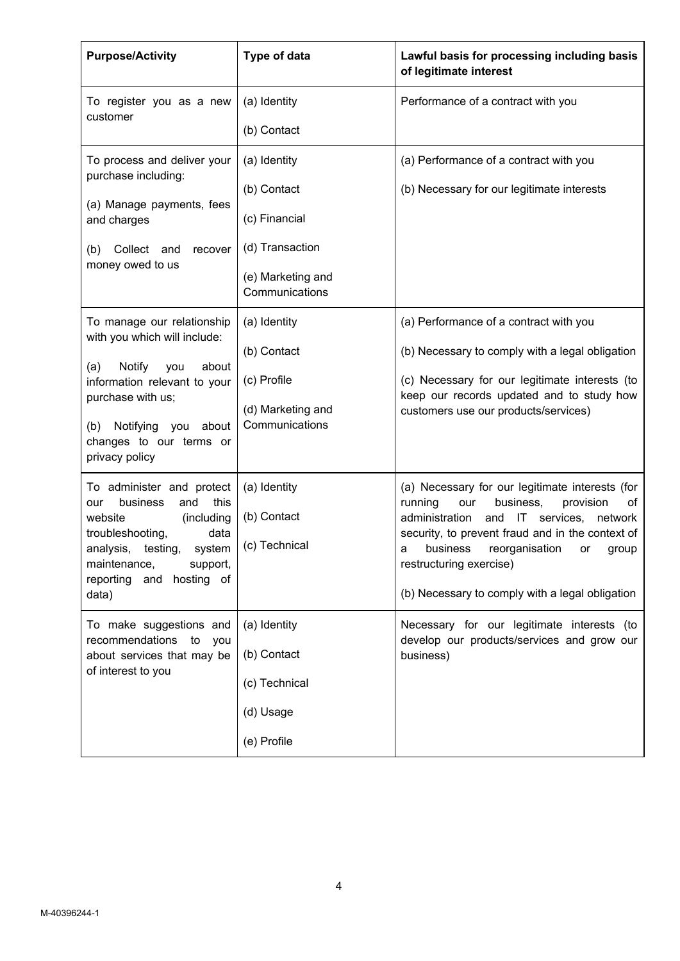| <b>Purpose/Activity</b>                                                                                                                                                                                                                  | Type of data                                                                                           | Lawful basis for processing including basis<br>of legitimate interest                                                                                                                                                                                                                                                                  |
|------------------------------------------------------------------------------------------------------------------------------------------------------------------------------------------------------------------------------------------|--------------------------------------------------------------------------------------------------------|----------------------------------------------------------------------------------------------------------------------------------------------------------------------------------------------------------------------------------------------------------------------------------------------------------------------------------------|
| To register you as a new<br>customer                                                                                                                                                                                                     | (a) Identity<br>(b) Contact                                                                            | Performance of a contract with you                                                                                                                                                                                                                                                                                                     |
| To process and deliver your<br>purchase including:<br>(a) Manage payments, fees<br>and charges<br>Collect<br>(b)<br>and<br>recover<br>money owed to us                                                                                   | (a) Identity<br>(b) Contact<br>(c) Financial<br>(d) Transaction<br>(e) Marketing and<br>Communications | (a) Performance of a contract with you<br>(b) Necessary for our legitimate interests                                                                                                                                                                                                                                                   |
| To manage our relationship<br>with you which will include:<br><b>Notify</b><br>about<br>(a)<br>you<br>information relevant to your<br>purchase with us;<br>Notifying<br>about<br>(b)<br>you<br>changes to our terms or<br>privacy policy | (a) Identity<br>(b) Contact<br>(c) Profile<br>(d) Marketing and<br>Communications                      | (a) Performance of a contract with you<br>(b) Necessary to comply with a legal obligation<br>(c) Necessary for our legitimate interests (to<br>keep our records updated and to study how<br>customers use our products/services)                                                                                                       |
| To administer and protect<br>business<br>and<br>this<br>our<br>(including<br>website<br>troubleshooting,<br>data<br>analysis,<br>testing,<br>system<br>maintenance,<br>support,<br>reporting and hosting of<br>data)                     | (a) Identity<br>(b) Contact<br>(c) Technical                                                           | (a) Necessary for our legitimate interests (for<br>running<br>business,<br>provision<br>our<br>of<br>administration<br>and IT services,<br>network<br>security, to prevent fraud and in the context of<br>business<br>reorganisation<br>а<br>or<br>group<br>restructuring exercise)<br>(b) Necessary to comply with a legal obligation |
| To make suggestions and<br>recommendations<br>to you<br>about services that may be<br>of interest to you                                                                                                                                 | (a) Identity<br>(b) Contact<br>(c) Technical<br>(d) Usage<br>(e) Profile                               | Necessary for our legitimate interests (to<br>develop our products/services and grow our<br>business)                                                                                                                                                                                                                                  |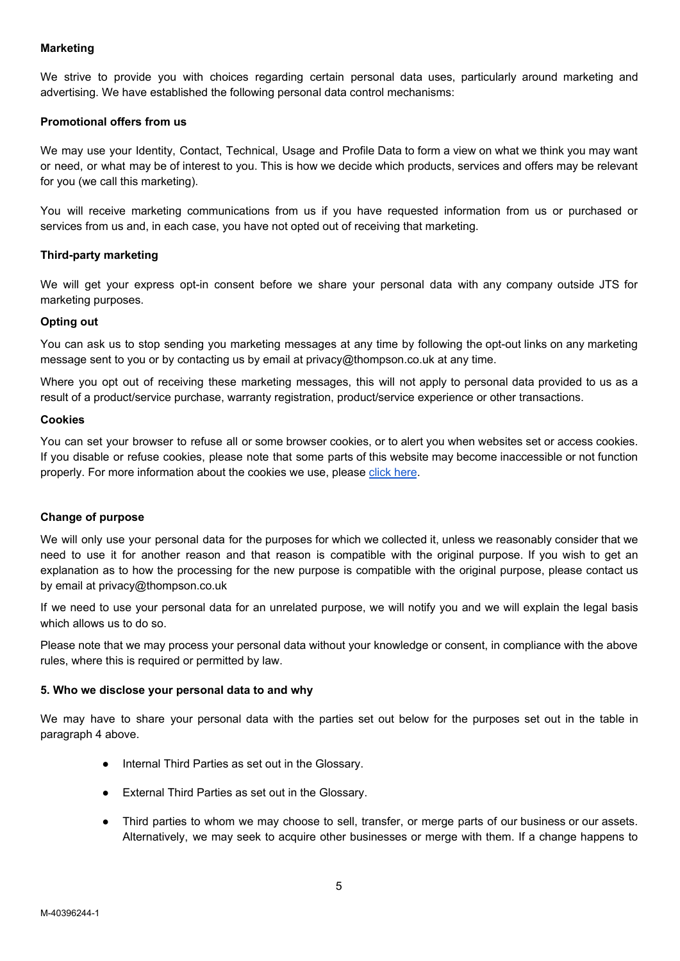# **Marketing**

We strive to provide you with choices regarding certain personal data uses, particularly around marketing and advertising. We have established the following personal data control mechanisms:

# **Promotional offers from us**

We may use your Identity, Contact, Technical, Usage and Profile Data to form a view on what we think you may want or need, or what may be of interest to you. This is how we decide which products, services and offers may be relevant for you (we call this marketing).

You will receive marketing communications from us if you have requested information from us or purchased or services from us and, in each case, you have not opted out of receiving that marketing.

# **Third-party marketing**

We will get your express opt-in consent before we share your personal data with any company outside JTS for marketing purposes.

# **Opting out**

You can ask us to stop sending you marketing messages at any time by following the opt-out links on any marketing message sent to you or by contacting us by email at privacy@thompson.co.uk at any time.

Where you opt out of receiving these marketing messages, this will not apply to personal data provided to us as a result of a product/service purchase, warranty registration, product/service experience or other transactions.

# **Cookies**

You can set your browser to refuse all or some browser cookies, or to alert you when websites set or access cookies. If you disable or refuse cookies, please note that some parts of this website may become inaccessible or not function properly. For more information about the cookies we use, please click [here.](http://wrbarnett.com/privacy-policies.html)

# **Change of purpose**

We will only use your personal data for the purposes for which we collected it, unless we reasonably consider that we need to use it for another reason and that reason is compatible with the original purpose. If you wish to get an explanation as to how the processing for the new purpose is compatible with the original purpose, please contact us by email at privacy@thompson.co.uk

If we need to use your personal data for an unrelated purpose, we will notify you and we will explain the legal basis which allows us to do so.

Please note that we may process your personal data without your knowledge or consent, in compliance with the above rules, where this is required or permitted by law.

# <span id="page-4-0"></span>**5. Who we disclose your personal data to and why**

We may have to share your personal data with the parties set out below for the purposes set out in the table in paragraph 4 above.

- Internal Third Parties as set out in the Glossary.
- External Third Parties as set out in the Glossary.
- Third parties to whom we may choose to sell, transfer, or merge parts of our business or our assets. Alternatively, we may seek to acquire other businesses or merge with them. If a change happens to

5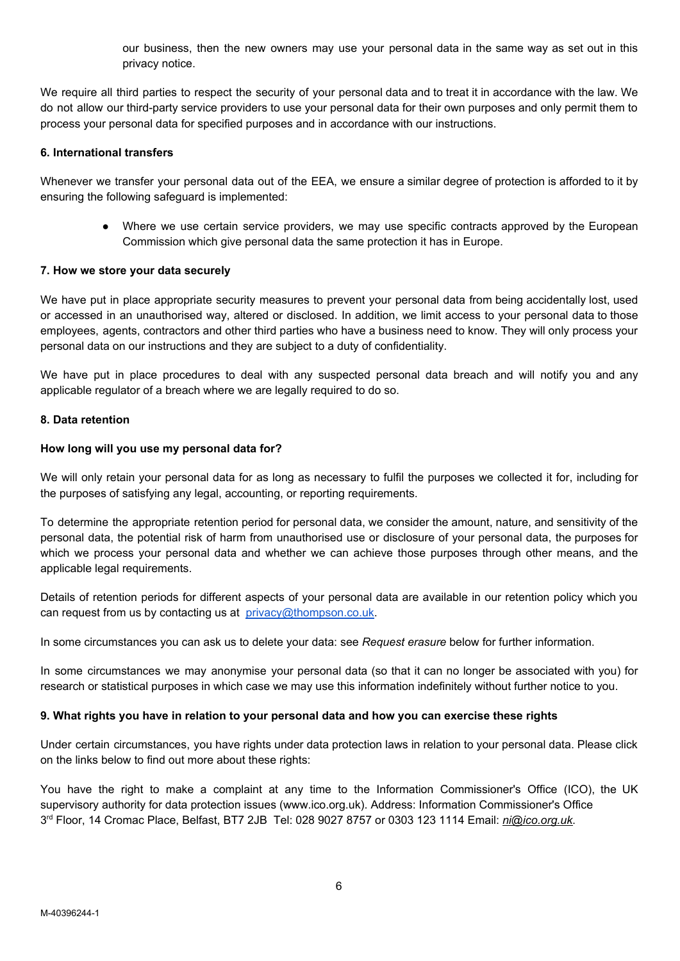our business, then the new owners may use your personal data in the same way as set out in this privacy notice.

We require all third parties to respect the security of your personal data and to treat it in accordance with the law. We do not allow our third-party service providers to use your personal data for their own purposes and only permit them to process your personal data for specified purposes and in accordance with our instructions.

### <span id="page-5-0"></span>**6. International transfers**

Whenever we transfer your personal data out of the EEA, we ensure a similar degree of protection is afforded to it by ensuring the following safeguard is implemented:

> • Where we use certain service providers, we may use specific contracts approved by the European Commission which give personal data the same protection it has in Europe.

### <span id="page-5-1"></span>**7. How we store your data securely**

We have put in place appropriate security measures to prevent your personal data from being accidentally lost, used or accessed in an unauthorised way, altered or disclosed. In addition, we limit access to your personal data to those employees, agents, contractors and other third parties who have a business need to know. They will only process your personal data on our instructions and they are subject to a duty of confidentiality.

We have put in place procedures to deal with any suspected personal data breach and will notify you and any applicable regulator of a breach where we are legally required to do so.

### <span id="page-5-2"></span>**8. Data retention**

### **How long will you use my personal data for?**

We will only retain your personal data for as long as necessary to fulfil the purposes we collected it for, including for the purposes of satisfying any legal, accounting, or reporting requirements.

To determine the appropriate retention period for personal data, we consider the amount, nature, and sensitivity of the personal data, the potential risk of harm from unauthorised use or disclosure of your personal data, the purposes for which we process your personal data and whether we can achieve those purposes through other means, and the applicable legal requirements.

Details of retention periods for different aspects of your personal data are available in our retention policy which you can request from us by contacting us at [privacy@thompson.co.uk](mailto:privacy@thompson.co.uk).

In some circumstances you can ask us to delete your data: see *Request erasure* below for further information.

In some circumstances we may anonymise your personal data (so that it can no longer be associated with you) for research or statistical purposes in which case we may use this information indefinitely without further notice to you.

# <span id="page-5-3"></span>**9. What rights you have in relation to your personal data and how you can exercise these rights**

Under certain circumstances, you have rights under data protection laws in relation to your personal data. Please click on the links below to find out more about these rights:

You have the right to make a complaint at any time to the Information Commissioner's Office (ICO), the UK supervisory authority for data protection issues (www.ico.org.uk). Address: Information Commissioner's Office 3 rd Floor, 14 Cromac Place, Belfast, BT7 2JB Tel: 028 9027 8757 or 0303 123 1114 Email: *[ni@ico.org.uk](mailto:ni@ico.org.uk)*.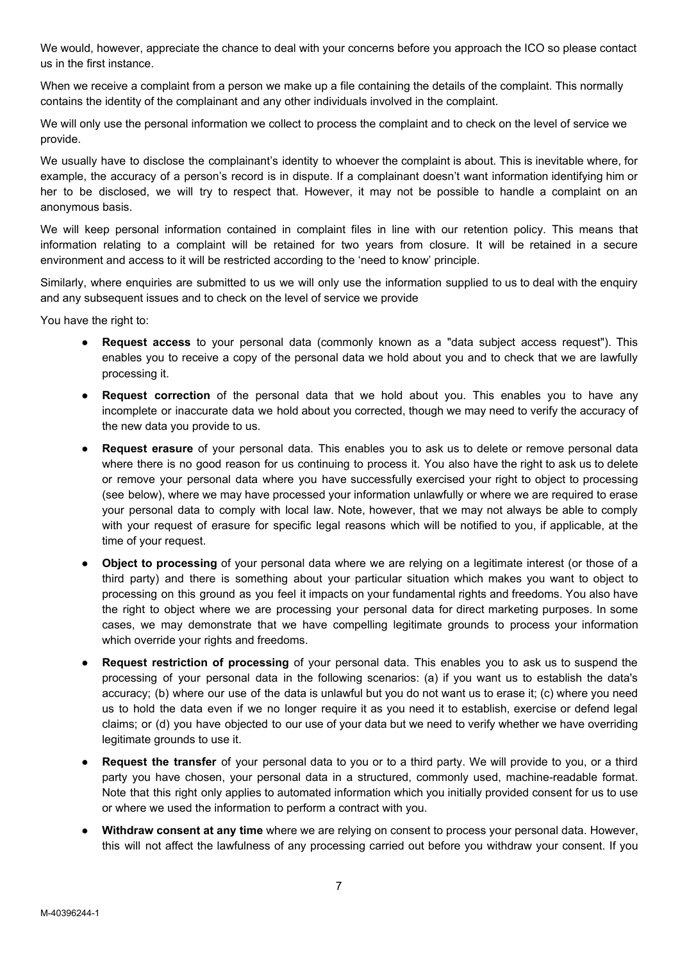We would, however, appreciate the chance to deal with your concerns before you approach the ICO so please contact us in the first instance.

When we receive a complaint from a person we make up a file containing the details of the complaint. This normally contains the identity of the complainant and any other individuals involved in the complaint.

We will only use the personal information we collect to process the complaint and to check on the level of service we provide.

We usually have to disclose the complainant's identity to whoever the complaint is about. This is inevitable where, for example, the accuracy of a person's record is in dispute. If a complainant doesn't want information identifying him or her to be disclosed, we will try to respect that. However, it may not be possible to handle a complaint on an anonymous basis.

We will keep personal information contained in complaint files in line with our retention policy. This means that information relating to a complaint will be retained for two years from closure. It will be retained in a secure environment and access to it will be restricted according to the 'need to know' principle.

Similarly, where enquiries are submitted to us we will only use the information supplied to us to deal with the enquiry and any subsequent issues and to check on the level of service we provide

You have the right to:

- **Request access** to your personal data (commonly known as a "data subject access request"). This enables you to receive a copy of the personal data we hold about you and to check that we are lawfully processing it.
- **Request correction** of the personal data that we hold about you. This enables you to have any incomplete or inaccurate data we hold about you corrected, though we may need to verify the accuracy of the new data you provide to us.
- **Request erasure** of your personal data. This enables you to ask us to delete or remove personal data where there is no good reason for us continuing to process it. You also have the right to ask us to delete or remove your personal data where you have successfully exercised your right to object to processing (see below), where we may have processed your information unlawfully or where we are required to erase your personal data to comply with local law. Note, however, that we may not always be able to comply with your request of erasure for specific legal reasons which will be notified to you, if applicable, at the time of your request.
- **Object to processing** of your personal data where we are relying on a legitimate interest (or those of a third party) and there is something about your particular situation which makes you want to object to processing on this ground as you feel it impacts on your fundamental rights and freedoms. You also have the right to object where we are processing your personal data for direct marketing purposes. In some cases, we may demonstrate that we have compelling legitimate grounds to process your information which override your rights and freedoms.
- **Request restriction of processing** of your personal data. This enables you to ask us to suspend the processing of your personal data in the following scenarios: (a) if you want us to establish the data's accuracy; (b) where our use of the data is unlawful but you do not want us to erase it; (c) where you need us to hold the data even if we no longer require it as you need it to establish, exercise or defend legal claims; or (d) you have objected to our use of your data but we need to verify whether we have overriding legitimate grounds to use it.
- **Request the transfer** of your personal data to you or to a third party. We will provide to you, or a third party you have chosen, your personal data in a structured, commonly used, machine-readable format. Note that this right only applies to automated information which you initially provided consent for us to use or where we used the information to perform a contract with you.
- **Withdraw consent at any time** where we are relying on consent to process your personal data. However, this will not affect the lawfulness of any processing carried out before you withdraw your consent. If you